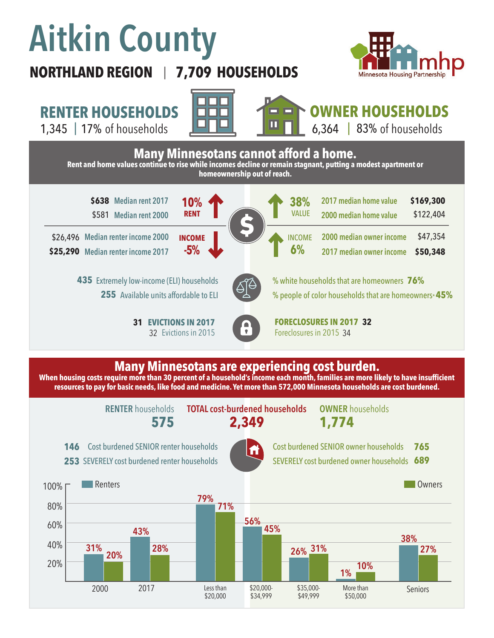# **Aitkin County**

## **7,709 HOUSEHOLDS**



**RENTER HOUSEHOLDS**

1,345 | of households 17% 83%

**NORTHLAND REGION** |





**OWNER HOUSEHOLDS**  $6,364$  | 83% of households

**\$638** Median rent 2017 **10% 1 0 1 1 1 1 1 1 3 8%** 2017 median home value **\$169,300** \$581 **Median rent 2000 Median renter income 2000**  \$26,496 **Median renter income 2017 \$25,290 38%** \$122,404 **2000 median owner income 2017 median owner income 2017 median home value 2000 median home value 6%** \$47,354 **\$50,348** VALUE INCOME **10% -5% RENT INCOME EVICTIONS IN 2017 FORECLOSURES IN 2017 32** Foreclosures in 2015 34 **31 EVICTIONS IN 2017** 32 Evictions in 2015 **Many Minnesotans cannot afford a home. Rent and home values continue to rise while incomes decline or remain stagnant, putting a modest apartment or homeownership out of reach.** Extremely low-income (ELI) households **435** 255 Available units affordable to ELI % white households that are homeowners **76%** % people of color households that are homeowners\* **45%**

#### **Many Minnesotans are experiencing cost burden.**

**When housing costs require more than 30 percent of a household's income each month, families are more likely to have insufficient resources to pay for basic needs, like food and medicine. Yet more than 572,000 Minnesota households are cost burdened.**